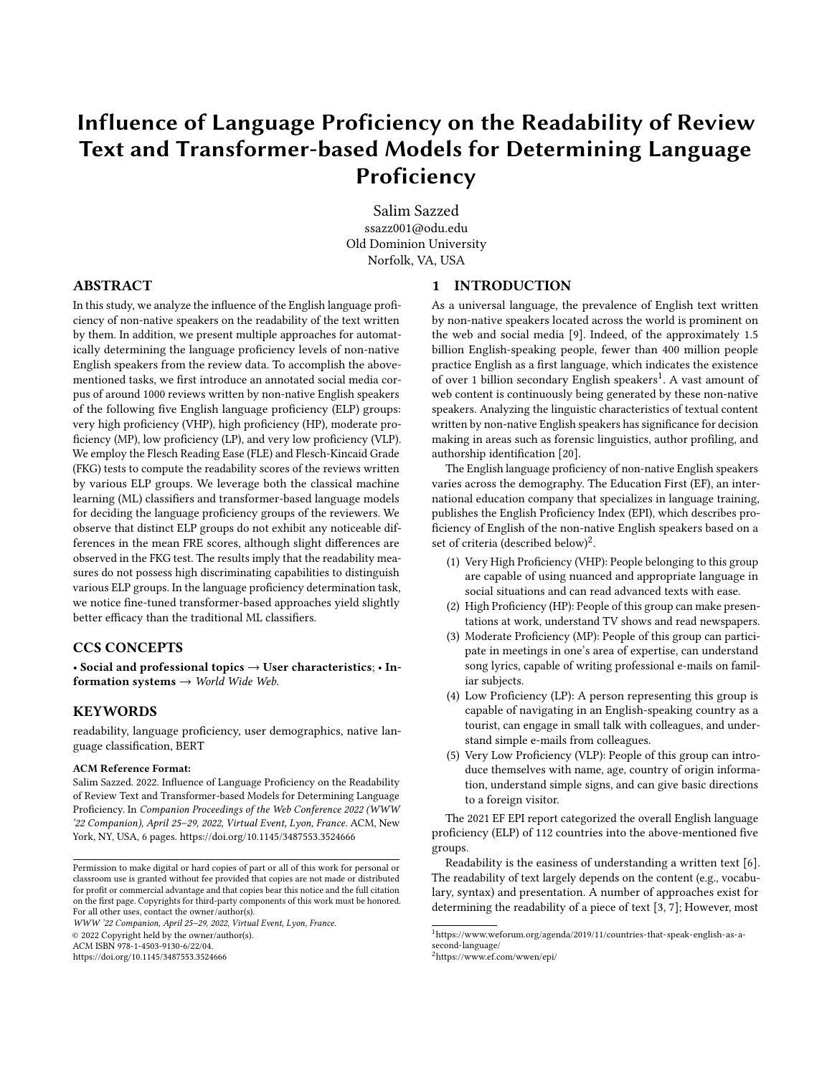# Influence of Language Proficiency on the Readability of Review Text and Transformer-based Models for Determining Language Proficiency

[Salim Sazzed](https://orcid.org/0000-0002-8552-5337) ssazz001@odu.edu Old Dominion University Norfolk, VA, USA

## ABSTRACT

In this study, we analyze the influence of the English language proficiency of non-native speakers on the readability of the text written by them. In addition, we present multiple approaches for automatically determining the language proficiency levels of non-native English speakers from the review data. To accomplish the abovementioned tasks, we first introduce an annotated social media corpus of around 1000 reviews written by non-native English speakers of the following five English language proficiency (ELP) groups: very high proficiency (VHP), high proficiency (HP), moderate proficiency (MP), low proficiency (LP), and very low proficiency (VLP). We employ the Flesch Reading Ease (FLE) and Flesch-Kincaid Grade (FKG) tests to compute the readability scores of the reviews written by various ELP groups. We leverage both the classical machine learning (ML) classifiers and transformer-based language models for deciding the language proficiency groups of the reviewers. We observe that distinct ELP groups do not exhibit any noticeable differences in the mean FRE scores, although slight differences are observed in the FKG test. The results imply that the readability measures do not possess high discriminating capabilities to distinguish various ELP groups. In the language proficiency determination task, we notice fine-tuned transformer-based approaches yield slightly better efficacy than the traditional ML classifiers.

# CCS CONCEPTS

• Social and professional topics  $\rightarrow$  User characteristics; • Information systems  $\rightarrow$  World Wide Web.

## **KEYWORDS**

readability, language proficiency, user demographics, native language classification, BERT

#### ACM Reference Format:

Salim Sazzed. 2022. Influence of Language Proficiency on the Readability of Review Text and Transformer-based Models for Determining Language Proficiency. In Companion Proceedings of the Web Conference 2022 (WWW '22 Companion), April 25–29, 2022, Virtual Event, Lyon, France. ACM, New York, NY, USA, [6](#page-5-0) pages.<https://doi.org/10.1145/3487553.3524666>

WWW '22 Companion, April 25–29, 2022, Virtual Event, Lyon, France.

© 2022 Copyright held by the owner/author(s).

ACM ISBN 978-1-4503-9130-6/22/04.

<https://doi.org/10.1145/3487553.3524666>

#### 1 INTRODUCTION

As a universal language, the prevalence of English text written by non-native speakers located across the world is prominent on the web and social media [\[9\]](#page-4-0). Indeed, of the approximately 1.5 billion English-speaking people, fewer than 400 million people practice English as a first language, which indicates the existence of over [1](#page-0-0) billion secondary English speakers<sup>1</sup>. A vast amount of web content is continuously being generated by these non-native speakers. Analyzing the linguistic characteristics of textual content written by non-native English speakers has significance for decision making in areas such as forensic linguistics, author profiling, and authorship identification [\[20\]](#page-4-1).

The English language proficiency of non-native English speakers varies across the demography. The Education First (EF), an international education company that specializes in language training, publishes the English Proficiency Index (EPI), which describes proficiency of English of the non-native English speakers based on a set of criteria (described below)<sup>[2](#page-0-1)</sup>.

- (1) Very High Proficiency (VHP): People belonging to this group are capable of using nuanced and appropriate language in social situations and can read advanced texts with ease.
- (2) High Proficiency (HP): People of this group can make presentations at work, understand TV shows and read newspapers.
- (3) Moderate Proficiency (MP): People of this group can participate in meetings in one's area of expertise, can understand song lyrics, capable of writing professional e-mails on familiar subjects.
- (4) Low Proficiency (LP): A person representing this group is capable of navigating in an English-speaking country as a tourist, can engage in small talk with colleagues, and understand simple e-mails from colleagues.
- (5) Very Low Proficiency (VLP): People of this group can introduce themselves with name, age, country of origin information, understand simple signs, and can give basic directions to a foreign visitor.

The 2021 EF EPI report categorized the overall English language proficiency (ELP) of 112 countries into the above-mentioned five groups.

Readability is the easiness of understanding a written text [\[6\]](#page-4-2). The readability of text largely depends on the content (e.g., vocabulary, syntax) and presentation. A number of approaches exist for determining the readability of a piece of text [\[3,](#page-4-3) [7\]](#page-4-4); However, most

Permission to make digital or hard copies of part or all of this work for personal or classroom use is granted without fee provided that copies are not made or distributed for profit or commercial advantage and that copies bear this notice and the full citation on the first page. Copyrights for third-party components of this work must be honored. For all other uses, contact the owner/author(s).

<span id="page-0-0"></span> $^1$ [https://www.weforum.org/agenda/2019/11/countries-that-speak-english-as-a](https://www.weforum.org/agenda/2019/11/countries-that-speak-english-as-a-second-language/)[second-language/](https://www.weforum.org/agenda/2019/11/countries-that-speak-english-as-a-second-language/)

<span id="page-0-1"></span><sup>2</sup><https://www.ef.com/wwen/epi/>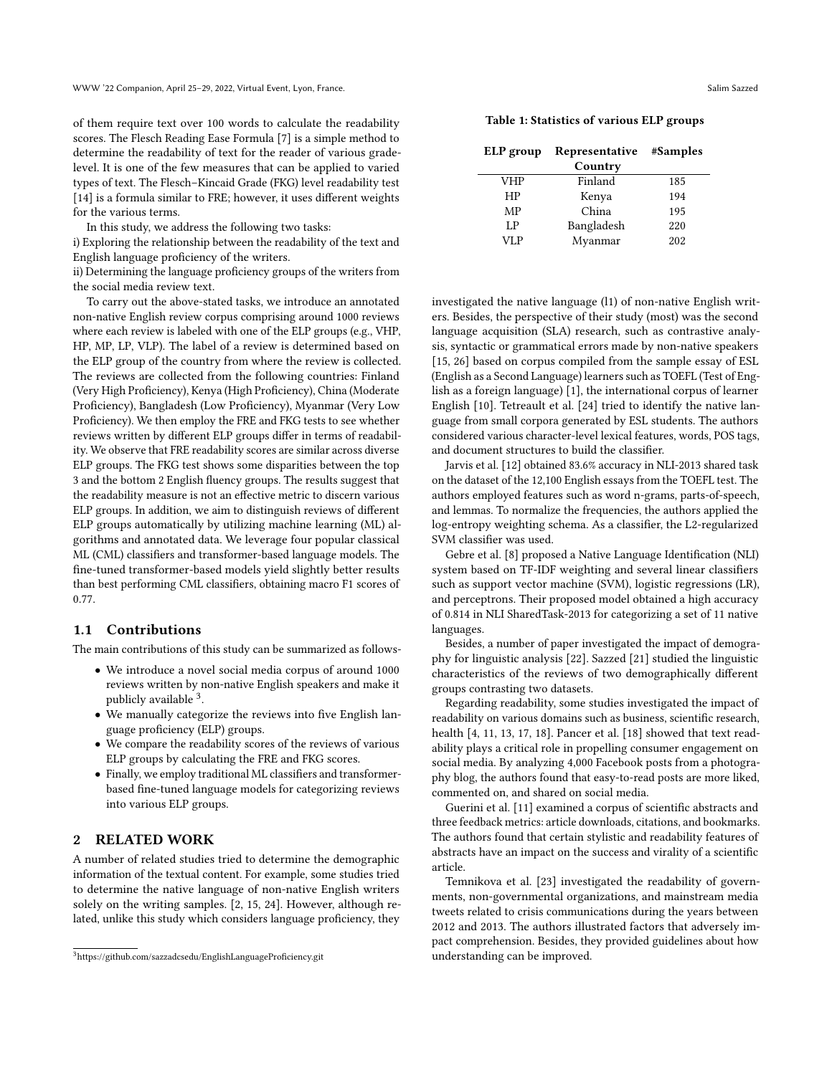of them require text over 100 words to calculate the readability scores. The Flesch Reading Ease Formula [\[7\]](#page-4-4) is a simple method to determine the readability of text for the reader of various gradelevel. It is one of the few measures that can be applied to varied types of text. The Flesch–Kincaid Grade (FKG) level readability test [\[14\]](#page-4-5) is a formula similar to FRE; however, it uses different weights for the various terms.

In this study, we address the following two tasks:

i) Exploring the relationship between the readability of the text and English language proficiency of the writers.

ii) Determining the language proficiency groups of the writers from the social media review text.

To carry out the above-stated tasks, we introduce an annotated non-native English review corpus comprising around 1000 reviews where each review is labeled with one of the ELP groups (e.g., VHP, HP, MP, LP, VLP). The label of a review is determined based on the ELP group of the country from where the review is collected. The reviews are collected from the following countries: Finland (Very High Proficiency), Kenya (High Proficiency), China (Moderate Proficiency), Bangladesh (Low Proficiency), Myanmar (Very Low Proficiency). We then employ the FRE and FKG tests to see whether reviews written by different ELP groups differ in terms of readability. We observe that FRE readability scores are similar across diverse ELP groups. The FKG test shows some disparities between the top 3 and the bottom 2 English fluency groups. The results suggest that the readability measure is not an effective metric to discern various ELP groups. In addition, we aim to distinguish reviews of different ELP groups automatically by utilizing machine learning (ML) algorithms and annotated data. We leverage four popular classical ML (CML) classifiers and transformer-based language models. The fine-tuned transformer-based models yield slightly better results than best performing CML classifiers, obtaining macro F1 scores of 0.77.

## 1.1 Contributions

The main contributions of this study can be summarized as follows-

- We introduce a novel social media corpus of around 1000 reviews written by non-native English speakers and make it publicly available <sup>[3](#page-1-0)</sup>.
- We manually categorize the reviews into five English language proficiency (ELP) groups.
- We compare the readability scores of the reviews of various ELP groups by calculating the FRE and FKG scores.
- Finally, we employ traditional ML classifiers and transformerbased fine-tuned language models for categorizing reviews into various ELP groups.

# 2 RELATED WORK

A number of related studies tried to determine the demographic information of the textual content. For example, some studies tried to determine the native language of non-native English writers solely on the writing samples. [\[2,](#page-4-6) [15,](#page-4-7) [24\]](#page-5-1). However, although related, unlike this study which considers language proficiency, they

<span id="page-1-1"></span>Table 1: Statistics of various ELP groups

| ELP group  | Representative | #Samples |
|------------|----------------|----------|
|            | Country        |          |
| <b>VHP</b> | Finland        | 185      |
| HP         | Kenya          | 194      |
| MP         | China          | 195      |
| LP         | Bangladesh     | 220      |
| VLP        | Myanmar        | 202      |

investigated the native language (l1) of non-native English writers. Besides, the perspective of their study (most) was the second language acquisition (SLA) research, such as contrastive analysis, syntactic or grammatical errors made by non-native speakers [\[15,](#page-4-7) [26\]](#page-5-2) based on corpus compiled from the sample essay of ESL (English as a Second Language) learners such as TOEFL (Test of English as a foreign language) [\[1\]](#page-4-8), the international corpus of learner English [\[10\]](#page-4-9). Tetreault et al. [\[24\]](#page-5-1) tried to identify the native language from small corpora generated by ESL students. The authors considered various character-level lexical features, words, POS tags, and document structures to build the classifier.

Jarvis et al. [\[12\]](#page-4-10) obtained 83.6% accuracy in NLI-2013 shared task on the dataset of the 12,100 English essays from the TOEFL test. The authors employed features such as word n-grams, parts-of-speech, and lemmas. To normalize the frequencies, the authors applied the log-entropy weighting schema. As a classifier, the L2-regularized SVM classifier was used.

Gebre et al. [\[8\]](#page-4-11) proposed a Native Language Identification (NLI) system based on TF-IDF weighting and several linear classifiers such as support vector machine (SVM), logistic regressions (LR), and perceptrons. Their proposed model obtained a high accuracy of 0.814 in NLI SharedTask-2013 for categorizing a set of 11 native languages.

Besides, a number of paper investigated the impact of demography for linguistic analysis [\[22\]](#page-5-3). Sazzed [\[21\]](#page-4-12) studied the linguistic characteristics of the reviews of two demographically different groups contrasting two datasets.

Regarding readability, some studies investigated the impact of readability on various domains such as business, scientific research, health [\[4,](#page-4-13) [11,](#page-4-14) [13,](#page-4-15) [17,](#page-4-16) [18\]](#page-4-17). Pancer et al. [\[18\]](#page-4-17) showed that text readability plays a critical role in propelling consumer engagement on social media. By analyzing 4,000 Facebook posts from a photography blog, the authors found that easy-to-read posts are more liked, commented on, and shared on social media.

Guerini et al. [\[11\]](#page-4-14) examined a corpus of scientific abstracts and three feedback metrics: article downloads, citations, and bookmarks. The authors found that certain stylistic and readability features of abstracts have an impact on the success and virality of a scientific article.

Temnikova et al. [\[23\]](#page-5-4) investigated the readability of governments, non-governmental organizations, and mainstream media tweets related to crisis communications during the years between 2012 and 2013. The authors illustrated factors that adversely impact comprehension. Besides, they provided guidelines about how understanding can be improved.

<span id="page-1-0"></span><sup>3</sup>https://github.com/sazzadcsedu/EnglishLanguageProficiency.git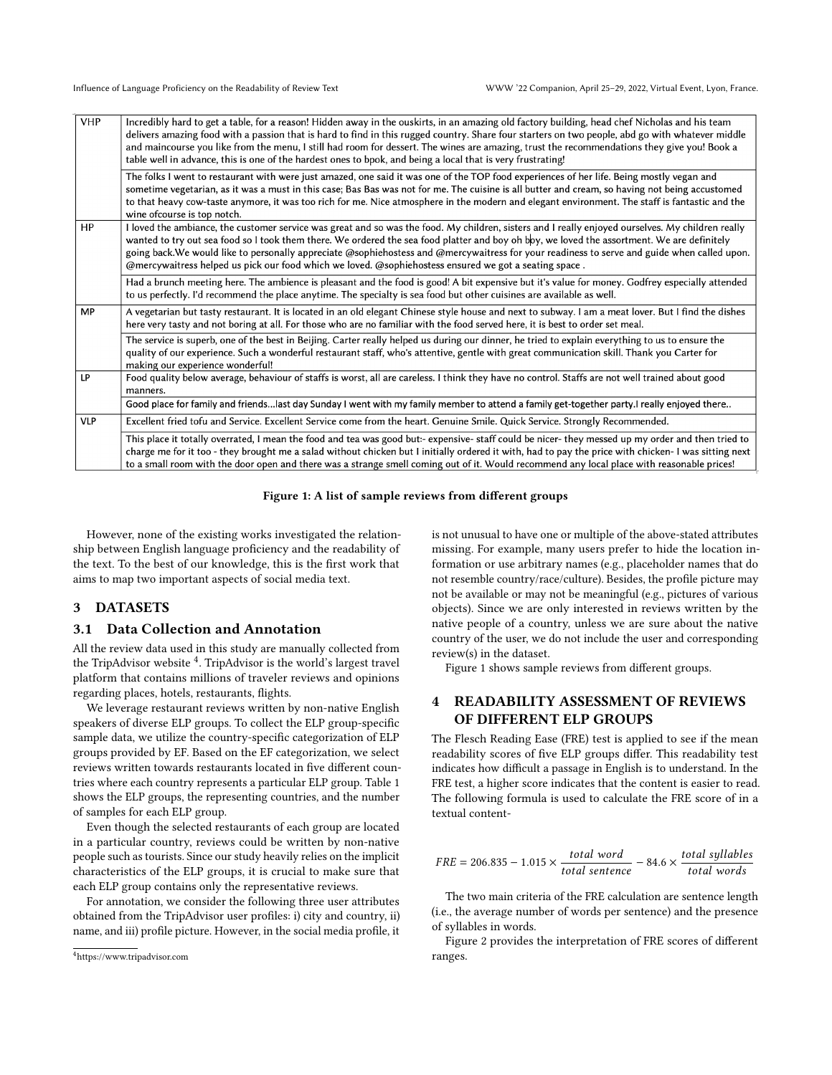<span id="page-2-1"></span>

| <b>VHP</b> | Incredibly hard to get a table, for a reason! Hidden away in the ouskirts, in an amazing old factory building, head chef Nicholas and his team<br>delivers amazing food with a passion that is hard to find in this rugged country. Share four starters on two people, abd go with whatever middle<br>and maincourse you like from the menu, I still had room for dessert. The wines are amazing, trust the recommendations they give you! Book a                                                                                                        |
|------------|----------------------------------------------------------------------------------------------------------------------------------------------------------------------------------------------------------------------------------------------------------------------------------------------------------------------------------------------------------------------------------------------------------------------------------------------------------------------------------------------------------------------------------------------------------|
|            | table well in advance, this is one of the hardest ones to bpok, and being a local that is very frustrating!                                                                                                                                                                                                                                                                                                                                                                                                                                              |
|            | The folks I went to restaurant with were just amazed, one said it was one of the TOP food experiences of her life. Being mostly vegan and<br>sometime vegetarian, as it was a must in this case; Bas Bas was not for me. The cuisine is all butter and cream, so having not being accustomed<br>to that heavy cow-taste anymore, it was too rich for me. Nice atmosphere in the modern and elegant environment. The staff is fantastic and the<br>wine ofcourse is top notch.                                                                            |
| HP         | I loved the ambiance, the customer service was great and so was the food. My children, sisters and I really enjoyed ourselves. My children really<br>wanted to try out sea food so I took them there. We ordered the sea food platter and boy oh boy, we loved the assortment. We are definitely<br>going back.We would like to personally appreciate @sophiehostess and @mercywaitress for your readiness to serve and guide when called upon.<br>@mercywaitress helped us pick our food which we loved. @sophiehostess ensured we got a seating space. |
|            | Had a brunch meeting here. The ambience is pleasant and the food is good! A bit expensive but it's value for money. Godfrey especially attended<br>to us perfectly. I'd recommend the place anytime. The specialty is sea food but other cuisines are available as well.                                                                                                                                                                                                                                                                                 |
| <b>MP</b>  | A vegetarian but tasty restaurant. It is located in an old elegant Chinese style house and next to subway. I am a meat lover. But I find the dishes<br>here very tasty and not boring at all. For those who are no familiar with the food served here, it is best to order set meal.                                                                                                                                                                                                                                                                     |
|            | The service is superb, one of the best in Beijing. Carter really helped us during our dinner, he tried to explain everything to us to ensure the<br>quality of our experience. Such a wonderful restaurant staff, who's attentive, gentle with great communication skill. Thank you Carter for<br>making our experience wonderful!                                                                                                                                                                                                                       |
| LP         | Food quality below average, behaviour of staffs is worst, all are careless. I think they have no control. Staffs are not well trained about good<br>manners.                                                                                                                                                                                                                                                                                                                                                                                             |
|            | Good place for family and friendslast day Sunday I went with my family member to attend a family get-together party.I really enjoyed there                                                                                                                                                                                                                                                                                                                                                                                                               |
| <b>VLP</b> | Excellent fried tofu and Service. Excellent Service come from the heart. Genuine Smile. Quick Service. Strongly Recommended.                                                                                                                                                                                                                                                                                                                                                                                                                             |
|            | This place it totally overrated, I mean the food and tea was good but:- expensive- staff could be nicer- they messed up my order and then tried to<br>charge me for it too - they brought me a salad without chicken but I initially ordered it with, had to pay the price with chicken- I was sitting next<br>to a small room with the door open and there was a strange smell coming out of it. Would recommend any local place with reasonable prices                                                                                                 |

Figure 1: A list of sample reviews from different groups

However, none of the existing works investigated the relationship between English language proficiency and the readability of the text. To the best of our knowledge, this is the first work that aims to map two important aspects of social media text.

## 3 DATASETS

#### 3.1 Data Collection and Annotation

All the review data used in this study are manually collected from the TripAdvisor website <sup>[4](#page-2-0)</sup>. TripAdvisor is the world's largest travel platform that contains millions of traveler reviews and opinions regarding places, hotels, restaurants, flights.

We leverage restaurant reviews written by non-native English speakers of diverse ELP groups. To collect the ELP group-specific sample data, we utilize the country-specific categorization of ELP groups provided by EF. Based on the EF categorization, we select reviews written towards restaurants located in five different countries where each country represents a particular ELP group. Table [1](#page-1-1) shows the ELP groups, the representing countries, and the number of samples for each ELP group.

Even though the selected restaurants of each group are located in a particular country, reviews could be written by non-native people such as tourists. Since our study heavily relies on the implicit characteristics of the ELP groups, it is crucial to make sure that each ELP group contains only the representative reviews.

For annotation, we consider the following three user attributes obtained from the TripAdvisor user profiles: i) city and country, ii) name, and iii) profile picture. However, in the social media profile, it is not unusual to have one or multiple of the above-stated attributes missing. For example, many users prefer to hide the location information or use arbitrary names (e.g., placeholder names that do not resemble country/race/culture). Besides, the profile picture may not be available or may not be meaningful (e.g., pictures of various objects). Since we are only interested in reviews written by the native people of a country, unless we are sure about the native country of the user, we do not include the user and corresponding review(s) in the dataset.

Figure [1](#page-2-1) shows sample reviews from different groups.

# 4 READABILITY ASSESSMENT OF REVIEWS OF DIFFERENT ELP GROUPS

The Flesch Reading Ease (FRE) test is applied to see if the mean readability scores of five ELP groups differ. This readability test indicates how difficult a passage in English is to understand. In the FRE test, a higher score indicates that the content is easier to read. The following formula is used to calculate the FRE score of in a textual content-

$$
FRE = 206.835 - 1.015 \times \frac{total\ word}{total\ sentence} - 84.6 \times \frac{total\ syllables}{total\ words}
$$

The two main criteria of the FRE calculation are sentence length (i.e., the average number of words per sentence) and the presence of syllables in words.

Figure [2](#page-3-0) provides the interpretation of FRE scores of different ranges.

<span id="page-2-0"></span><sup>4</sup><https://www.tripadvisor.com>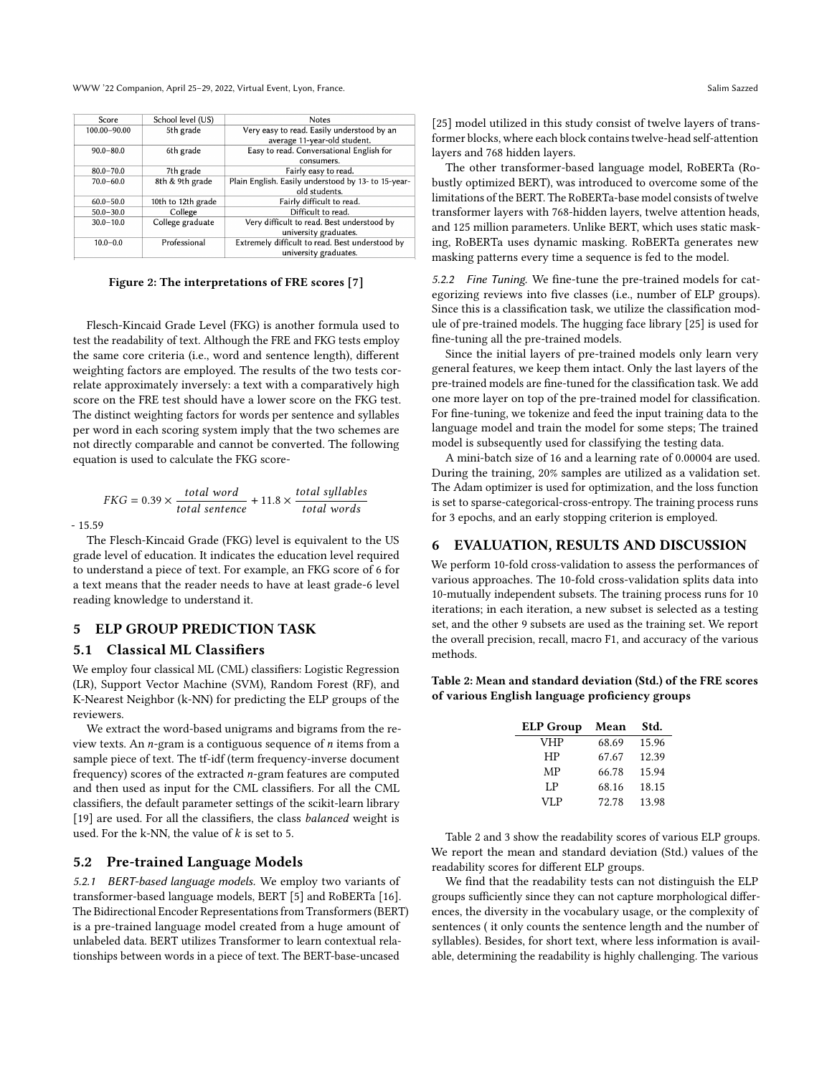WWW '22 Companion, April 25–29, 2022, Virtual Event, Lyon, France. Salim Sazzed

<span id="page-3-0"></span>

| Score         | School level (US)  | <b>Notes</b>                                        |  |
|---------------|--------------------|-----------------------------------------------------|--|
| 100.00-90.00  | 5th grade          | Very easy to read. Easily understood by an          |  |
|               |                    | average 11-year-old student.                        |  |
| $90.0 - 80.0$ | 6th grade          | Easy to read. Conversational English for            |  |
|               |                    | consumers.                                          |  |
| $80.0 - 70.0$ | 7th grade          | Fairly easy to read.                                |  |
| $70.0 - 60.0$ | 8th & 9th grade    | Plain English. Easily understood by 13- to 15-year- |  |
|               |                    | old students.                                       |  |
| $60.0 - 50.0$ | 10th to 12th grade | Fairly difficult to read.                           |  |
| $50.0 - 30.0$ | College            | Difficult to read.                                  |  |
| $30.0 - 10.0$ | College graduate   | Very difficult to read. Best understood by          |  |
|               |                    | university graduates.                               |  |
| $10.0 - 0.0$  | Professional       | Extremely difficult to read. Best understood by     |  |
|               |                    | university graduates.                               |  |
|               |                    |                                                     |  |

Figure 2: The interpretations of FRE scores [\[7\]](#page-4-4)

Flesch-Kincaid Grade Level (FKG) is another formula used to test the readability of text. Although the FRE and FKG tests employ the same core criteria (i.e., word and sentence length), different weighting factors are employed. The results of the two tests correlate approximately inversely: a text with a comparatively high score on the FRE test should have a lower score on the FKG test. The distinct weighting factors for words per sentence and syllables per word in each scoring system imply that the two schemes are not directly comparable and cannot be converted. The following equation is used to calculate the FKG score-

$$
FKG = 0.39 \times \frac{total\ word}{total\ sentence} + 11.8 \times \frac{total\ syllables}{total\ words}
$$

- 15.59

The Flesch-Kincaid Grade (FKG) level is equivalent to the US grade level of education. It indicates the education level required to understand a piece of text. For example, an FKG score of 6 for a text means that the reader needs to have at least grade-6 level reading knowledge to understand it.

# 5 ELP GROUP PREDICTION TASK

# 5.1 Classical ML Classifiers

We employ four classical ML (CML) classifiers: Logistic Regression (LR), Support Vector Machine (SVM), Random Forest (RF), and K-Nearest Neighbor (k-NN) for predicting the ELP groups of the reviewers.

We extract the word-based unigrams and bigrams from the review texts. An  $n$ -gram is a contiguous sequence of  $n$  items from a sample piece of text. The tf-idf (term frequency-inverse document frequency) scores of the extracted  $n$ -gram features are computed and then used as input for the CML classifiers. For all the CML classifiers, the default parameter settings of the scikit-learn library [\[19\]](#page-4-18) are used. For all the classifiers, the class *balanced* weight is used. For the k-NN, the value of  $k$  is set to 5.

## 5.2 Pre-trained Language Models

5.2.1 BERT-based language models. We employ two variants of transformer-based language models, BERT [\[5\]](#page-4-19) and RoBERTa [\[16\]](#page-4-20). The Bidirectional Encoder Representations from Transformers (BERT) is a pre-trained language model created from a huge amount of unlabeled data. BERT utilizes Transformer to learn contextual relationships between words in a piece of text. The BERT-base-uncased

The other transformer-based language model, RoBERTa (Robustly optimized BERT), was introduced to overcome some of the limitations of the BERT. The RoBERTa-base model consists of twelve transformer layers with 768-hidden layers, twelve attention heads, and 125 million parameters. Unlike BERT, which uses static masking, RoBERTa uses dynamic masking. RoBERTa generates new masking patterns every time a sequence is fed to the model.

5.2.2 Fine Tuning. We fine-tune the pre-trained models for categorizing reviews into five classes (i.e., number of ELP groups). Since this is a classification task, we utilize the classification module of pre-trained models. The hugging face library [\[25\]](#page-5-5) is used for fine-tuning all the pre-trained models.

Since the initial layers of pre-trained models only learn very general features, we keep them intact. Only the last layers of the pre-trained models are fine-tuned for the classification task. We add one more layer on top of the pre-trained model for classification. For fine-tuning, we tokenize and feed the input training data to the language model and train the model for some steps; The trained model is subsequently used for classifying the testing data.

A mini-batch size of 16 and a learning rate of 0.00004 are used. During the training, 20% samples are utilized as a validation set. The Adam optimizer is used for optimization, and the loss function is set to sparse-categorical-cross-entropy. The training process runs for 3 epochs, and an early stopping criterion is employed.

## 6 EVALUATION, RESULTS AND DISCUSSION

We perform 10-fold cross-validation to assess the performances of various approaches. The 10-fold cross-validation splits data into 10-mutually independent subsets. The training process runs for 10 iterations; in each iteration, a new subset is selected as a testing set, and the other 9 subsets are used as the training set. We report the overall precision, recall, macro F1, and accuracy of the various methods.

<span id="page-3-1"></span>Table 2: Mean and standard deviation (Std.) of the FRE scores of various English language proficiency groups

| ELP Group  | Mean  | Std.  |
|------------|-------|-------|
| <b>VHP</b> | 68.69 | 15.96 |
| HP         | 67.67 | 12.39 |
| MP         | 66.78 | 15.94 |
| LP         | 68.16 | 18.15 |
| <b>VLP</b> | 72.78 | 13.98 |

Table [2](#page-3-1) and [3](#page-4-21) show the readability scores of various ELP groups. We report the mean and standard deviation (Std.) values of the readability scores for different ELP groups.

We find that the readability tests can not distinguish the ELP groups sufficiently since they can not capture morphological differences, the diversity in the vocabulary usage, or the complexity of sentences ( it only counts the sentence length and the number of syllables). Besides, for short text, where less information is available, determining the readability is highly challenging. The various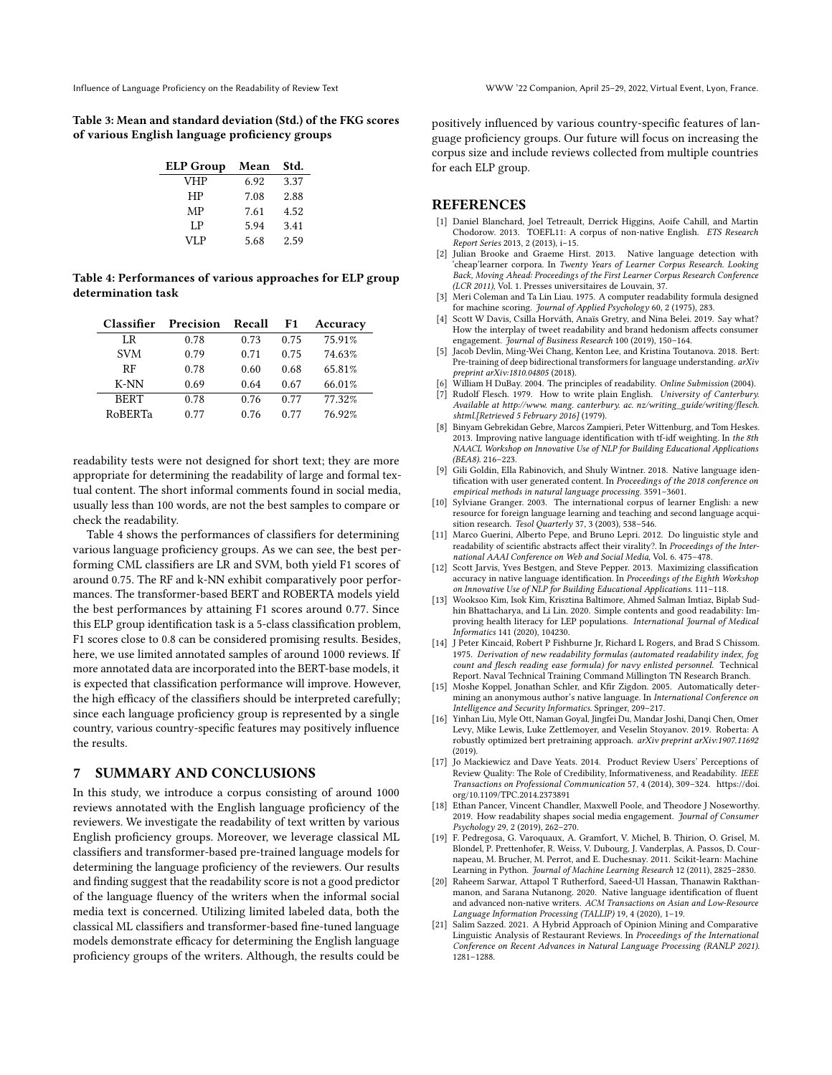<span id="page-4-21"></span>Table 3: Mean and standard deviation (Std.) of the FKG scores of various English language proficiency groups

| <b>ELP Group</b> | Mean | Std. |
|------------------|------|------|
| <b>VHP</b>       | 6.92 | 3.37 |
| HP               | 7.08 | 2.88 |
| MP               | 7.61 | 4.52 |
| LP.              | 5.94 | 3.41 |
| VLP              | 5.68 | 2.59 |

<span id="page-4-22"></span>Table 4: Performances of various approaches for ELP group determination task

| <b>Classifier</b> | Precision | Recall | F1   | Accuracy |
|-------------------|-----------|--------|------|----------|
| LR                | 0.78      | 0.73   | 0.75 | 75.91%   |
| <b>SVM</b>        | 0.79      | 0.71   | 0.75 | 74.63%   |
| RF                | 0.78      | 0.60   | 0.68 | 65.81%   |
| $K-NN$            | 0.69      | 0.64   | 0.67 | 66.01%   |
| <b>BERT</b>       | 0.78      | 0.76   | 0.77 | 77.32%   |
| RoBERTa           | 0.77      | 0.76   | 0.77 | 76.92%   |

readability tests were not designed for short text; they are more appropriate for determining the readability of large and formal textual content. The short informal comments found in social media, usually less than 100 words, are not the best samples to compare or check the readability.

Table [4](#page-4-22) shows the performances of classifiers for determining various language proficiency groups. As we can see, the best performing CML classifiers are LR and SVM, both yield F1 scores of around 0.75. The RF and k-NN exhibit comparatively poor performances. The transformer-based BERT and ROBERTA models yield the best performances by attaining F1 scores around 0.77. Since this ELP group identification task is a 5-class classification problem, F1 scores close to 0.8 can be considered promising results. Besides, here, we use limited annotated samples of around 1000 reviews. If more annotated data are incorporated into the BERT-base models, it is expected that classification performance will improve. However, the high efficacy of the classifiers should be interpreted carefully; since each language proficiency group is represented by a single country, various country-specific features may positively influence the results.

### 7 SUMMARY AND CONCLUSIONS

In this study, we introduce a corpus consisting of around 1000 reviews annotated with the English language proficiency of the reviewers. We investigate the readability of text written by various English proficiency groups. Moreover, we leverage classical ML classifiers and transformer-based pre-trained language models for determining the language proficiency of the reviewers. Our results and finding suggest that the readability score is not a good predictor of the language fluency of the writers when the informal social media text is concerned. Utilizing limited labeled data, both the classical ML classifiers and transformer-based fine-tuned language models demonstrate efficacy for determining the English language proficiency groups of the writers. Although, the results could be

positively influenced by various country-specific features of language proficiency groups. Our future will focus on increasing the corpus size and include reviews collected from multiple countries for each ELP group.

## **REFERENCES**

- <span id="page-4-8"></span>[1] Daniel Blanchard, Joel Tetreault, Derrick Higgins, Aoife Cahill, and Martin Chodorow. 2013. TOEFL11: A corpus of non-native English. ETS Research Report Series 2013, 2 (2013), i–15.
- <span id="page-4-6"></span>[2] Julian Brooke and Graeme Hirst. 2013. Native language detection with 'cheap'learner corpora. In Twenty Years of Learner Corpus Research. Looking Back, Moving Ahead: Proceedings of the First Learner Corpus Research Conference (LCR 2011), Vol. 1. Presses universitaires de Louvain, 37.
- <span id="page-4-3"></span>[3] Meri Coleman and Ta Lin Liau. 1975. A computer readability formula designed for machine scoring. Journal of Applied Psychology 60, 2 (1975), 283.
- <span id="page-4-13"></span>[4] Scott W Davis, Csilla Horváth, Anaïs Gretry, and Nina Belei. 2019. Say what? How the interplay of tweet readability and brand hedonism affects consumer engagement. Journal of Business Research 100 (2019), 150–164.
- <span id="page-4-19"></span>[5] Jacob Devlin, Ming-Wei Chang, Kenton Lee, and Kristina Toutanova. 2018. Bert: Pre-training of deep bidirectional transformers for language understanding. arXiv preprint arXiv:1810.04805 (2018).
- <span id="page-4-2"></span>[6] William H DuBay. 2004. The principles of readability. Online Submission (2004).
- <span id="page-4-4"></span>[7] Rudolf Flesch. 1979. How to write plain English. University of Canterbury. Available at http://www. mang. canterbury. ac. nz/writing\_guide/writing/flesch. shtml.[Retrieved 5 February 2016] (1979).
- <span id="page-4-11"></span>[8] Binyam Gebrekidan Gebre, Marcos Zampieri, Peter Wittenburg, and Tom Heskes. 2013. Improving native language identification with tf-idf weighting. In the 8th NAACL Workshop on Innovative Use of NLP for Building Educational Applications (BEA8). 216–223.
- <span id="page-4-0"></span>[9] Gili Goldin, Ella Rabinovich, and Shuly Wintner. 2018. Native language identification with user generated content. In Proceedings of the 2018 conference on empirical methods in natural language processing. 3591–3601.
- <span id="page-4-9"></span>[10] Sylviane Granger. 2003. The international corpus of learner English: a new resource for foreign language learning and teaching and second language acquisition research. Tesol Quarterly 37, 3 (2003), 538–546.
- <span id="page-4-14"></span>[11] Marco Guerini, Alberto Pepe, and Bruno Lepri. 2012. Do linguistic style and readability of scientific abstracts affect their virality?. In Proceedings of the International AAAI Conference on Web and Social Media, Vol. 6. 475–478.
- <span id="page-4-10"></span>[12] Scott Jarvis, Yves Bestgen, and Steve Pepper. 2013. Maximizing classification accuracy in native language identification. In Proceedings of the Eighth Workshop on Innovative Use of NLP for Building Educational Applications. 111–118.
- <span id="page-4-15"></span>[13] Wooksoo Kim, Isok Kim, Krisztina Baltimore, Ahmed Salman Imtiaz, Biplab Sudhin Bhattacharya, and Li Lin. 2020. Simple contents and good readability: Improving health literacy for LEP populations. International Journal of Medical Informatics 141 (2020), 104230.
- <span id="page-4-5"></span>[14] J Peter Kincaid, Robert P Fishburne Jr, Richard L Rogers, and Brad S Chissom. 1975. Derivation of new readability formulas (automated readability index, fog count and flesch reading ease formula) for navy enlisted personnel. Technical Report. Naval Technical Training Command Millington TN Research Branch.
- <span id="page-4-7"></span>[15] Moshe Koppel, Jonathan Schler, and Kfir Zigdon. 2005. Automatically determining an anonymous author's native language. In International Conference on Intelligence and Security Informatics. Springer, 209–217.
- <span id="page-4-20"></span>[16] Yinhan Liu, Myle Ott, Naman Goyal, Jingfei Du, Mandar Joshi, Danqi Chen, Omer Levy, Mike Lewis, Luke Zettlemoyer, and Veselin Stoyanov. 2019. Roberta: A robustly optimized bert pretraining approach. arXiv preprint arXiv:1907.11692  $(2019)$
- <span id="page-4-16"></span>[17] Jo Mackiewicz and Dave Yeats. 2014. Product Review Users' Perceptions of Review Quality: The Role of Credibility, Informativeness, and Readability. IEEE Transactions on Professional Communication 57, 4 (2014), 309–324. [https://doi.](https://doi.org/10.1109/TPC.2014.2373891) [org/10.1109/TPC.2014.2373891](https://doi.org/10.1109/TPC.2014.2373891)
- <span id="page-4-17"></span>[18] Ethan Pancer, Vincent Chandler, Maxwell Poole, and Theodore J Noseworthy. 2019. How readability shapes social media engagement. Journal of Consumer Psychology 29, 2 (2019), 262–270.
- <span id="page-4-18"></span>[19] F. Pedregosa, G. Varoquaux, A. Gramfort, V. Michel, B. Thirion, O. Grisel, M. Blondel, P. Prettenhofer, R. Weiss, V. Dubourg, J. Vanderplas, A. Passos, D. Cournapeau, M. Brucher, M. Perrot, and E. Duchesnay. 2011. Scikit-learn: Machine Learning in Python. Journal of Machine Learning Research 12 (2011), 2825–2830.
- <span id="page-4-1"></span>[20] Raheem Sarwar, Attapol T Rutherford, Saeed-Ul Hassan, Thanawin Rakthanmanon, and Sarana Nutanong. 2020. Native language identification of fluent and advanced non-native writers. ACM Transactions on Asian and Low-Resource Language Information Processing (TALLIP) 19, 4 (2020), 1–19.
- <span id="page-4-12"></span>Salim Sazzed. 2021. A Hybrid Approach of Opinion Mining and Comparative Linguistic Analysis of Restaurant Reviews. In Proceedings of the International Conference on Recent Advances in Natural Language Processing (RANLP 2021). 1281–1288.